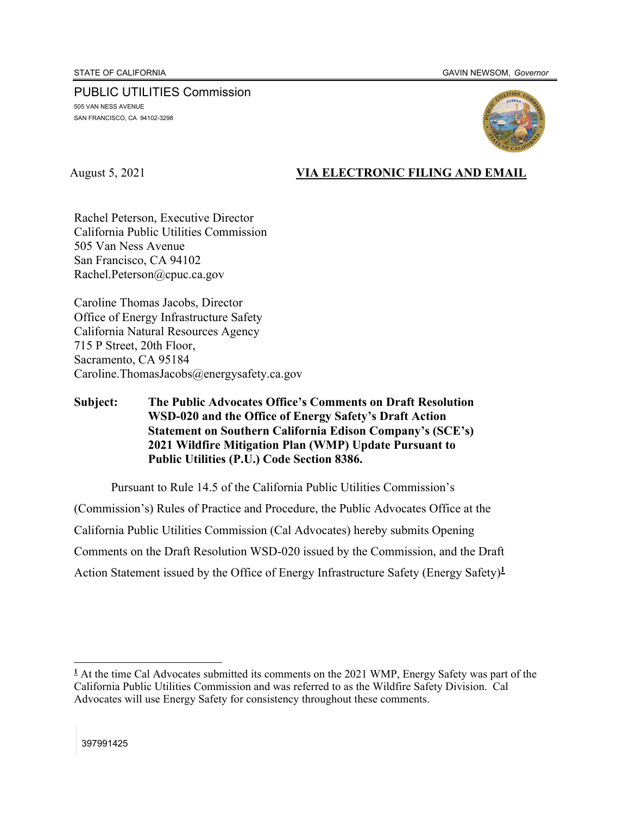PUBLIC UTILITIES Commission 505 VAN NESS AVENUE SAN FRANCISCO, CA 94102-3298



## August 5, 2021 **VIA ELECTRONIC FILING AND EMAIL**

Rachel Peterson, Executive Director California Public Utilities Commission 505 Van Ness Avenue San Francisco, CA 94102 Rachel.Peterson@cpuc.ca.gov

Caroline Thomas Jacobs, Director Office of Energy Infrastructure Safety California Natural Resources Agency 715 P Street, 20th Floor, Sacramento, CA 95184 Caroline.ThomasJacobs@energysafety.ca.gov

## **Subject: The Public Advocates Office's Comments on Draft Resolution WSD-020 and the Office of Energy Safety's Draft Action Statement on Southern California Edison Company's (SCE's) 2021 Wildfire Mitigation Plan (WMP) Update Pursuant to Public Utilities (P.U.) Code Section 8386.**

Pursuant to Rule 14.5 of the California Public Utilities Commission's (Commission's) Rules of Practice and Procedure, the Public Advocates Office at the California Public Utilities Commission (Cal Advocates) hereby submits Opening Comments on the Draft Resolution WSD-020 issued by the Commission, and the Draft Action Statement issued by the Office of Energy Infrastructure Safety (Energy Safety)**<sup>1</sup>**

<sup>&</sup>lt;sup>1</sup> At the time Cal Advocates submitted its comments on the 2021 WMP, Energy Safety was part of the California Public Utilities Commission and was referred to as the Wildfire Safety Division. Cal Advocates will use Energy Safety for consistency throughout these comments.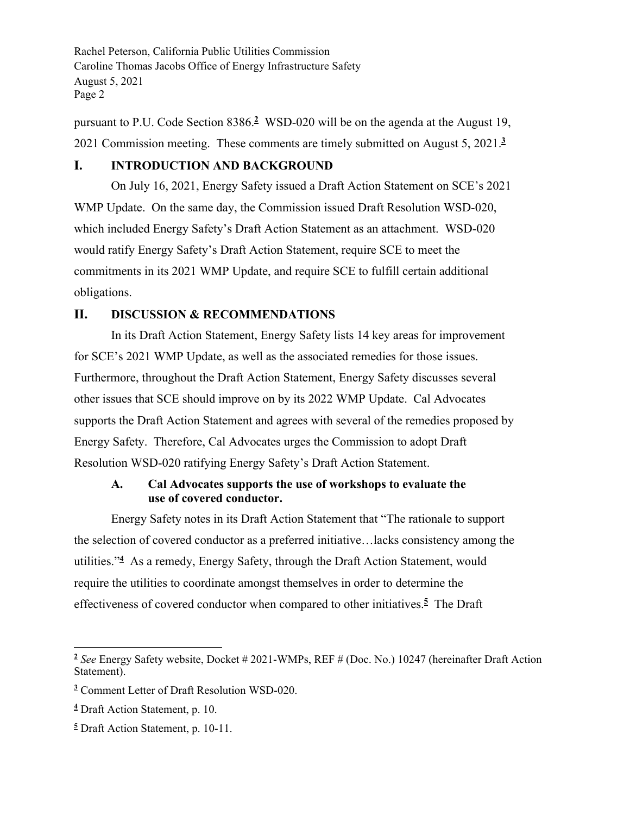pursuant to P.U. Code Section 8386.**<sup>2</sup>** WSD-020 will be on the agenda at the August 19, 2021 Commission meeting. These comments are timely submitted on August 5, 2021.**<sup>3</sup>**

### **I. INTRODUCTION AND BACKGROUND**

On July 16, 2021, Energy Safety issued a Draft Action Statement on SCE's 2021 WMP Update. On the same day, the Commission issued Draft Resolution WSD-020, which included Energy Safety's Draft Action Statement as an attachment. WSD-020 would ratify Energy Safety's Draft Action Statement, require SCE to meet the commitments in its 2021 WMP Update, and require SCE to fulfill certain additional obligations.

### **II. DISCUSSION & RECOMMENDATIONS**

In its Draft Action Statement, Energy Safety lists 14 key areas for improvement for SCE's 2021 WMP Update, as well as the associated remedies for those issues. Furthermore, throughout the Draft Action Statement, Energy Safety discusses several other issues that SCE should improve on by its 2022 WMP Update. Cal Advocates supports the Draft Action Statement and agrees with several of the remedies proposed by Energy Safety. Therefore, Cal Advocates urges the Commission to adopt Draft Resolution WSD-020 ratifying Energy Safety's Draft Action Statement.

### **A. Cal Advocates supports the use of workshops to evaluate the use of covered conductor.**

Energy Safety notes in its Draft Action Statement that "The rationale to support the selection of covered conductor as a preferred initiative…lacks consistency among the utilities."**<sup>4</sup>** As a remedy, Energy Safety, through the Draft Action Statement, would require the utilities to coordinate amongst themselves in order to determine the effectiveness of covered conductor when compared to other initiatives.**<sup>5</sup>** The Draft

**<sup>2</sup>** *See* Energy Safety website, Docket # 2021-WMPs, REF # (Doc. No.) 10247 (hereinafter Draft Action Statement).

**<sup>3</sup>** Comment Letter of Draft Resolution WSD-020.

**<sup>4</sup>** Draft Action Statement, p. 10.

**<sup>5</sup>** Draft Action Statement, p. 10-11.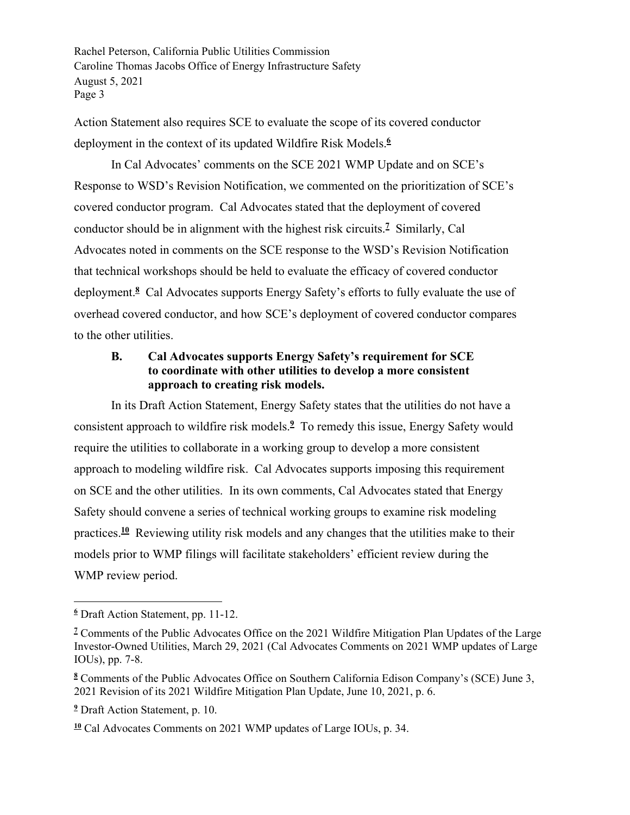Action Statement also requires SCE to evaluate the scope of its covered conductor deployment in the context of its updated Wildfire Risk Models.**<sup>6</sup>**

In Cal Advocates' comments on the SCE 2021 WMP Update and on SCE's Response to WSD's Revision Notification, we commented on the prioritization of SCE's covered conductor program. Cal Advocates stated that the deployment of covered conductor should be in alignment with the highest risk circuits.**<sup>7</sup>** Similarly, Cal Advocates noted in comments on the SCE response to the WSD's Revision Notification that technical workshops should be held to evaluate the efficacy of covered conductor deployment.**<sup>8</sup>** Cal Advocates supports Energy Safety's efforts to fully evaluate the use of overhead covered conductor, and how SCE's deployment of covered conductor compares to the other utilities.

## **B. Cal Advocates supports Energy Safety's requirement for SCE to coordinate with other utilities to develop a more consistent approach to creating risk models.**

In its Draft Action Statement, Energy Safety states that the utilities do not have a consistent approach to wildfire risk models.**<sup>9</sup>** To remedy this issue, Energy Safety would require the utilities to collaborate in a working group to develop a more consistent approach to modeling wildfire risk. Cal Advocates supports imposing this requirement on SCE and the other utilities. In its own comments, Cal Advocates stated that Energy Safety should convene a series of technical working groups to examine risk modeling practices.**<sup>10</sup>** Reviewing utility risk models and any changes that the utilities make to their models prior to WMP filings will facilitate stakeholders' efficient review during the WMP review period.

**<sup>6</sup>** Draft Action Statement, pp. 11-12.

<sup>&</sup>lt;sup>7</sup> Comments of the Public Advocates Office on the 2021 Wildfire Mitigation Plan Updates of the Large Investor-Owned Utilities, March 29, 2021 (Cal Advocates Comments on 2021 WMP updates of Large IOUs), pp. 7-8.

**<sup>8</sup>** Comments of the Public Advocates Office on Southern California Edison Company's (SCE) June 3, 2021 Revision of its 2021 Wildfire Mitigation Plan Update, June 10, 2021, p. 6.

**<sup>9</sup>** Draft Action Statement, p. 10.

**<sup>10</sup>** Cal Advocates Comments on 2021 WMP updates of Large IOUs, p. 34.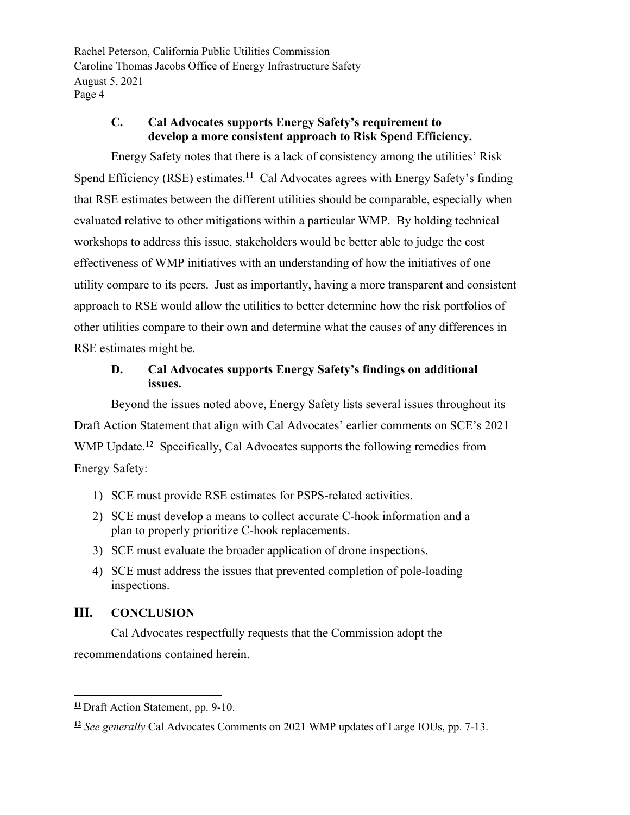# **C. Cal Advocates supports Energy Safety's requirement to develop a more consistent approach to Risk Spend Efficiency.**

Energy Safety notes that there is a lack of consistency among the utilities' Risk Spend Efficiency (RSE) estimates.<sup>11</sup> Cal Advocates agrees with Energy Safety's finding that RSE estimates between the different utilities should be comparable, especially when evaluated relative to other mitigations within a particular WMP. By holding technical workshops to address this issue, stakeholders would be better able to judge the cost effectiveness of WMP initiatives with an understanding of how the initiatives of one utility compare to its peers. Just as importantly, having a more transparent and consistent approach to RSE would allow the utilities to better determine how the risk portfolios of other utilities compare to their own and determine what the causes of any differences in RSE estimates might be.

## **D. Cal Advocates supports Energy Safety's findings on additional issues.**

Beyond the issues noted above, Energy Safety lists several issues throughout its Draft Action Statement that align with Cal Advocates' earlier comments on SCE's 2021 WMP Update.<sup>12</sup> Specifically, Cal Advocates supports the following remedies from Energy Safety:

- 1) SCE must provide RSE estimates for PSPS-related activities.
- 2) SCE must develop a means to collect accurate C-hook information and a plan to properly prioritize C-hook replacements.
- 3) SCE must evaluate the broader application of drone inspections.
- 4) SCE must address the issues that prevented completion of pole-loading inspections.

# **III. CONCLUSION**

Cal Advocates respectfully requests that the Commission adopt the recommendations contained herein.

**<sup>11</sup>** Draft Action Statement, pp. 9-10.

**<sup>12</sup>** *See generally* Cal Advocates Comments on 2021 WMP updates of Large IOUs, pp. 7-13.